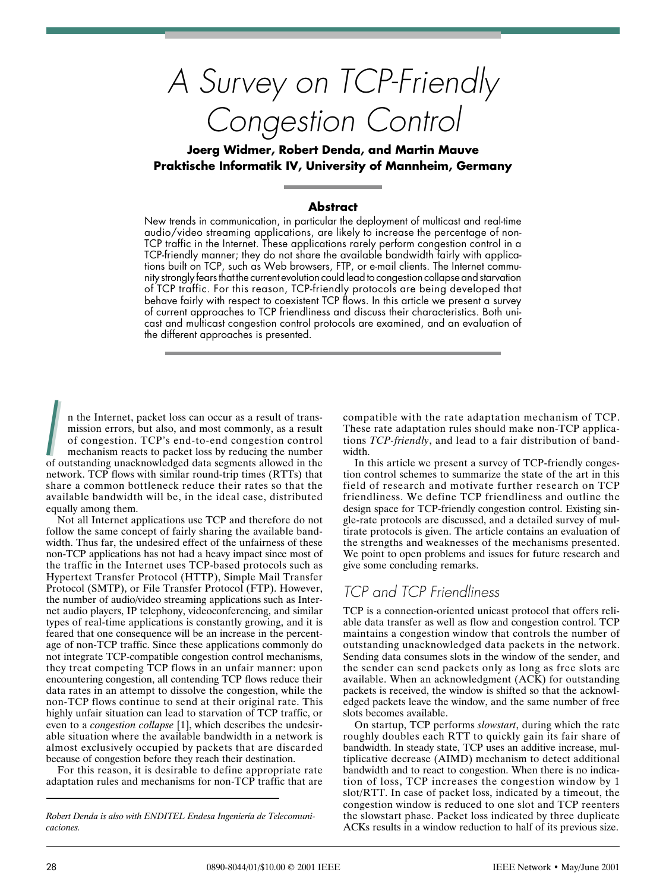# *A Survey on TCP-Friendly Congestion Control*

**Joerg Widmer, Robert Denda, and Martin Mauve Praktische Informatik IV, University of Mannheim, Germany**

## **Abstract**

New trends in communication, in particular the deployment of multicast and real-time audio/video streaming applications, are likely to increase the percentage of non-TCP traffic in the Internet. These applications rarely perform congestion control in a TCP-friendly manner; they do not share the available bandwidth fairly with applications built on TCP, such as Web browsers, FTP, or e-mail clients. The Internet community strongly fears that the current evolution could lead to congestion collapse and starvation of TCP traffic. For this reason, TCP-friendly protocols are being developed that behave fairly with respect to coexistent TCP flows. In this article we present a survey of current approaches to TCP friendliness and discuss their characteristics. Both unicast and multicast congestion control protocols are examined, and an evaluation of the different approaches is presented.

n the Internet, packet loss can occur as a result of transmission errors, but also, and most commonly, as a result of congestion. TCP's end-to-end congestion control mechanism reacts to packet loss by reducing the number n the Internet, packet loss can occur as a result of transmission errors, but also, and most commonly, as a result of congestion. TCP's end-to-end congestion control mechanism reacts to packet loss by reducing the number o network. TCP flows with similar round-trip times (RTTs) that share a common bottleneck reduce their rates so that the available bandwidth will be, in the ideal case, distributed equally among them. *I of* 

Not all Internet applications use TCP and therefore do not follow the same concept of fairly sharing the available bandwidth. Thus far, the undesired effect of the unfairness of these non-TCP applications has not had a heavy impact since most of the traffic in the Internet uses TCP-based protocols such as Hypertext Transfer Protocol (HTTP), Simple Mail Transfer Protocol (SMTP), or File Transfer Protocol (FTP). However, the number of audio/video streaming applications such as Internet audio players, IP telephony, videoconferencing, and similar types of real-time applications is constantly growing, and it is feared that one consequence will be an increase in the percentage of non-TCP traffic. Since these applications commonly do not integrate TCP-compatible congestion control mechanisms, they treat competing TCP flows in an unfair manner: upon encountering congestion, all contending TCP flows reduce their data rates in an attempt to dissolve the congestion, while the non-TCP flows continue to send at their original rate. This highly unfair situation can lead to starvation of TCP traffic, or even to a *congestion collapse* [1], which describes the undesirable situation where the available bandwidth in a network is almost exclusively occupied by packets that are discarded because of congestion before they reach their destination.

For this reason, it is desirable to define appropriate rate adaptation rules and mechanisms for non-TCP traffic that are compatible with the rate adaptation mechanism of TCP. These rate adaptation rules should make non-TCP applications *TCP-friendly*, and lead to a fair distribution of bandwidth.

In this article we present a survey of TCP-friendly congestion control schemes to summarize the state of the art in this field of research and motivate further research on TCP friendliness. We define TCP friendliness and outline the design space for TCP-friendly congestion control. Existing single-rate protocols are discussed, and a detailed survey of multirate protocols is given. The article contains an evaluation of the strengths and weaknesses of the mechanisms presented. We point to open problems and issues for future research and give some concluding remarks.

# *TCP and TCP Friendliness*

TCP is a connection-oriented unicast protocol that offers reliable data transfer as well as flow and congestion control. TCP maintains a congestion window that controls the number of outstanding unacknowledged data packets in the network. Sending data consumes slots in the window of the sender, and the sender can send packets only as long as free slots are available. When an acknowledgment (ACK) for outstanding packets is received, the window is shifted so that the acknowledged packets leave the window, and the same number of free slots becomes available.

On startup, TCP performs *slowstart*, during which the rate roughly doubles each RTT to quickly gain its fair share of bandwidth. In steady state, TCP uses an additive increase, multiplicative decrease (AIMD) mechanism to detect additional bandwidth and to react to congestion. When there is no indication of loss, TCP increases the congestion window by 1 slot/RTT. In case of packet loss, indicated by a timeout, the congestion window is reduced to one slot and TCP reenters the slowstart phase. Packet loss indicated by three duplicate ACKs results in a window reduction to half of its previous size.

*Robert Denda is also with ENDITEL Endesa Ingeniería de Telecomunicaciones.*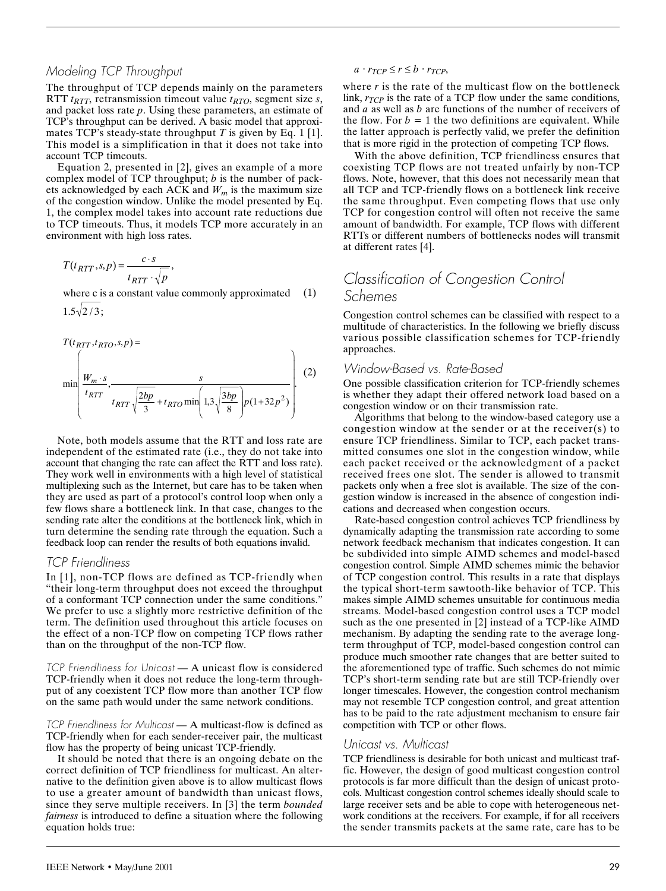## *Modeling TCP Throughput*

The throughput of TCP depends mainly on the parameters RTT  $t_{RTT}$ , retransmission timeout value  $t_{RTO}$ , segment size *s*, and packet loss rate *p*. Using these parameters, an estimate of TCP's throughput can be derived. A basic model that approximates TCP's steady-state throughput *T* is given by Eq. 1 [1]. This model is a simplification in that it does not take into account TCP timeouts.

Equation 2, presented in [2], gives an example of a more complex model of TCP throughput; *b* is the number of packets acknowledged by each ACK and  $W_m$  is the maximum size of the congestion window. Unlike the model presented by Eq. 1, the complex model takes into account rate reductions due to TCP timeouts. Thus, it models TCP more accurately in an environment with high loss rates.

$$
T(t_{RTT}, s, p) = \frac{c \cdot s}{t_{RTT} \cdot \sqrt{p}},
$$

where c is a constant value commonly approximated (1)  $1.5\sqrt{2/3};$ 

$$
T(t_{RTT}, t_{RTO}, s, p) = \n\lim_{t_{RTT}} \left( \frac{W_m \cdot s}{t_{RTT}} \cdot \frac{s}{t_{RTT} \sqrt{\frac{2bp}{3}} + t_{RTO} \min\left(1, 3\sqrt{\frac{3bp}{8}}\right) p(1 + 32p^2)} \right).
$$
\n(2)

Note, both models assume that the RTT and loss rate are independent of the estimated rate (i.e., they do not take into account that changing the rate can affect the RTT and loss rate). They work well in environments with a high level of statistical multiplexing such as the Internet, but care has to be taken when they are used as part of a protocol's control loop when only a few flows share a bottleneck link. In that case, changes to the sending rate alter the conditions at the bottleneck link, which in turn determine the sending rate through the equation. Such a feedback loop can render the results of both equations invalid.

#### *TCP Friendliness*

In [1], non-TCP flows are defined as TCP-friendly when "their long-term throughput does not exceed the throughput of a conformant TCP connection under the same conditions." We prefer to use a slightly more restrictive definition of the term. The definition used throughout this article focuses on the effect of a non-TCP flow on competing TCP flows rather than on the throughput of the non-TCP flow.

*TCP Friendliness for Unicast* — A unicast flow is considered TCP-friendly when it does not reduce the long-term throughput of any coexistent TCP flow more than another TCP flow on the same path would under the same network conditions.

*TCP Friendliness for Multicast* — A multicast-flow is defined as TCP-friendly when for each sender-receiver pair, the multicast flow has the property of being unicast TCP-friendly.

It should be noted that there is an ongoing debate on the correct definition of TCP friendliness for multicast. An alternative to the definition given above is to allow multicast flows to use a greater amount of bandwidth than unicast flows, since they serve multiple receivers. In [3] the term *bounded fairness* is introduced to define a situation where the following equation holds true:

where *r* is the rate of the multicast flow on the bottleneck link,  $r_{TCP}$  is the rate of a TCP flow under the same conditions, and *a* as well as *b* are functions of the number of receivers of the flow. For  $b = 1$  the two definitions are equivalent. While the latter approach is perfectly valid, we prefer the definition that is more rigid in the protection of competing TCP flows.

With the above definition, TCP friendliness ensures that coexisting TCP flows are not treated unfairly by non-TCP flows. Note, however, that this does not necessarily mean that all TCP and TCP-friendly flows on a bottleneck link receive the same throughput. Even competing flows that use only TCP for congestion control will often not receive the same amount of bandwidth. For example, TCP flows with different RTTs or different numbers of bottlenecks nodes will transmit at different rates [4].

# *Classification of Congestion Control Schemes*

Congestion control schemes can be classified with respect to a multitude of characteristics. In the following we briefly discuss various possible classification schemes for TCP-friendly approaches.

#### *Window-Based vs. Rate-Based*

One possible classification criterion for TCP-friendly schemes is whether they adapt their offered network load based on a congestion window or on their transmission rate.

Algorithms that belong to the window-based category use a congestion window at the sender or at the receiver(s) to ensure TCP friendliness. Similar to TCP, each packet transmitted consumes one slot in the congestion window, while each packet received or the acknowledgment of a packet received frees one slot. The sender is allowed to transmit packets only when a free slot is available. The size of the congestion window is increased in the absence of congestion indications and decreased when congestion occurs.

Rate-based congestion control achieves TCP friendliness by dynamically adapting the transmission rate according to some network feedback mechanism that indicates congestion. It can be subdivided into simple AIMD schemes and model-based congestion control. Simple AIMD schemes mimic the behavior of TCP congestion control. This results in a rate that displays the typical short-term sawtooth-like behavior of TCP. This makes simple AIMD schemes unsuitable for continuous media streams. Model-based congestion control uses a TCP model such as the one presented in [2] instead of a TCP-like AIMD mechanism. By adapting the sending rate to the average longterm throughput of TCP, model-based congestion control can produce much smoother rate changes that are better suited to the aforementioned type of traffic. Such schemes do not mimic TCP's short-term sending rate but are still TCP-friendly over longer timescales. However, the congestion control mechanism may not resemble TCP congestion control, and great attention has to be paid to the rate adjustment mechanism to ensure fair competition with TCP or other flows.

#### *Unicast vs. Multicast*

TCP friendliness is desirable for both unicast and multicast traffic. However, the design of good multicast congestion control protocols is far more difficult than the design of unicast protocols. Multicast congestion control schemes ideally should scale to large receiver sets and be able to cope with heterogeneous network conditions at the receivers. For example, if for all receivers the sender transmits packets at the same rate, care has to be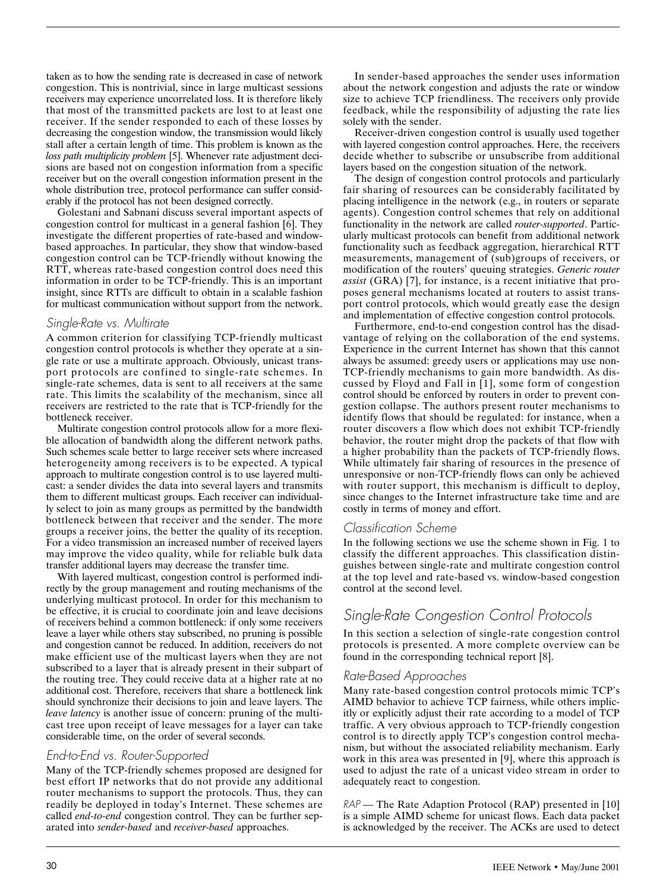taken as to how the sending rate is decreased in case of network congestion. This is nontrivial, since in large multicast sessions receivers may experience uncorrelated loss. It is therefore likely that most of the transmitted packets are lost to at least one receiver. If the sender responded to each of these losses by decreasing the congestion window, the transmission would likely stall after a certain length of time. This problem is known as the *loss path multiplicity problem* [5]. Whenever rate adjustment decisions are based not on congestion information from a specific receiver but on the overall congestion information present in the whole distribution tree, protocol performance can suffer considerably if the protocol has not been designed correctly.

Golestani and Sabnani discuss several important aspects of congestion control for multicast in a general fashion [6]. They investigate the different properties of rate-based and windowbased approaches. In particular, they show that window-based congestion control can be TCP-friendly without knowing the RTT, whereas rate-based congestion control does need this information in order to be TCP-friendly. This is an important insight, since RTTs are difficult to obtain in a scalable fashion for multicast communication without support from the network.

### *Single-Rate vs. Multirate*

A common criterion for classifying TCP-friendly multicast congestion control protocols is whether they operate at a single rate or use a multirate approach. Obviously, unicast transport protocols are confined to single-rate schemes. In single-rate schemes, data is sent to all receivers at the same rate. This limits the scalability of the mechanism, since all receivers are restricted to the rate that is TCP-friendly for the bottleneck receiver.

Multirate congestion control protocols allow for a more flexible allocation of bandwidth along the different network paths. Such schemes scale better to large receiver sets where increased heterogeneity among receivers is to be expected. A typical approach to multirate congestion control is to use layered multicast: a sender divides the data into several layers and transmits them to different multicast groups. Each receiver can individually select to join as many groups as permitted by the bandwidth bottleneck between that receiver and the sender. The more groups a receiver joins, the better the quality of its reception. For a video transmission an increased number of received layers may improve the video quality, while for reliable bulk data transfer additional layers may decrease the transfer time.

With layered multicast, congestion control is performed indirectly by the group management and routing mechanisms of the underlying multicast protocol. In order for this mechanism to be effective, it is crucial to coordinate join and leave decisions of receivers behind a common bottleneck: if only some receivers leave a layer while others stay subscribed, no pruning is possible and congestion cannot be reduced. In addition, receivers do not make efficient use of the multicast layers when they are not subscribed to a layer that is already present in their subpart of the routing tree. They could receive data at a higher rate at no additional cost. Therefore, receivers that share a bottleneck link should synchronize their decisions to join and leave layers. The *leave latency* is another issue of concern: pruning of the multicast tree upon receipt of leave messages for a layer can take considerable time, on the order of several seconds.

# *End-to-End vs. Router-Supported*

Many of the TCP-friendly schemes proposed are designed for best effort IP networks that do not provide any additional router mechanisms to support the protocols. Thus, they can readily be deployed in today's Internet. These schemes are called *end-to-end* congestion control. They can be further separated into *sender-based* and *receiver-based* approaches.

In sender-based approaches the sender uses information about the network congestion and adjusts the rate or window size to achieve TCP friendliness. The receivers only provide feedback, while the responsibility of adjusting the rate lies solely with the sender.

Receiver-driven congestion control is usually used together with layered congestion control approaches. Here, the receivers decide whether to subscribe or unsubscribe from additional layers based on the congestion situation of the network.

The design of congestion control protocols and particularly fair sharing of resources can be considerably facilitated by placing intelligence in the network (e.g., in routers or separate agents). Congestion control schemes that rely on additional functionality in the network are called *router-supported*. Particularly multicast protocols can benefit from additional network functionality such as feedback aggregation, hierarchical RTT measurements, management of (sub)groups of receivers, or modification of the routers' queuing strategies. *Generic router assist* (GRA) [7], for instance, is a recent initiative that proposes general mechanisms located at routers to assist transport control protocols, which would greatly ease the design and implementation of effective congestion control protocols.

Furthermore, end-to-end congestion control has the disadvantage of relying on the collaboration of the end systems. Experience in the current Internet has shown that this cannot always be assumed: greedy users or applications may use non-TCP-friendly mechanisms to gain more bandwidth. As discussed by Floyd and Fall in [1], some form of congestion control should be enforced by routers in order to prevent congestion collapse. The authors present router mechanisms to identify flows that should be regulated: for instance, when a router discovers a flow which does not exhibit TCP-friendly behavior, the router might drop the packets of that flow with a higher probability than the packets of TCP-friendly flows. While ultimately fair sharing of resources in the presence of unresponsive or non-TCP-friendly flows can only be achieved with router support, this mechanism is difficult to deploy, since changes to the Internet infrastructure take time and are costly in terms of money and effort.

## *Classification Scheme*

In the following sections we use the scheme shown in Fig. 1 to classify the different approaches. This classification distinguishes between single-rate and multirate congestion control at the top level and rate-based vs. window-based congestion control at the second level.

# *Single-Rate Congestion Control Protocols*

In this section a selection of single-rate congestion control protocols is presented. A more complete overview can be found in the corresponding technical report [8].

# *Rate-Based Approaches*

Many rate-based congestion control protocols mimic TCP's AIMD behavior to achieve TCP fairness, while others implicitly or explicitly adjust their rate according to a model of TCP traffic. A very obvious approach to TCP-friendly congestion control is to directly apply TCP's congestion control mechanism, but without the associated reliability mechanism. Early work in this area was presented in [9], where this approach is used to adjust the rate of a unicast video stream in order to adequately react to congestion.

*RAP* — The Rate Adaption Protocol (RAP) presented in [10] is a simple AIMD scheme for unicast flows. Each data packet is acknowledged by the receiver. The ACKs are used to detect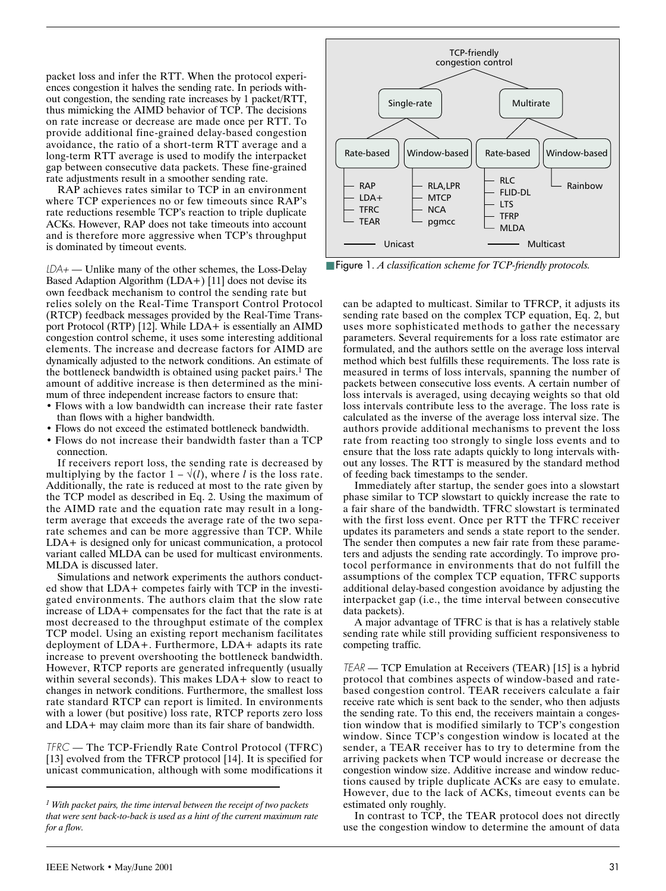packet loss and infer the RTT. When the protocol experiences congestion it halves the sending rate. In periods without congestion, the sending rate increases by 1 packet/RTT, thus mimicking the AIMD behavior of TCP. The decisions on rate increase or decrease are made once per RTT. To provide additional fine-grained delay-based congestion avoidance, the ratio of a short-term RTT average and a long-term RTT average is used to modify the interpacket gap between consecutive data packets. These fine-grained rate adjustments result in a smoother sending rate.

RAP achieves rates similar to TCP in an environment where TCP experiences no or few timeouts since RAP's rate reductions resemble TCP's reaction to triple duplicate ACKs. However, RAP does not take timeouts into account and is therefore more aggressive when TCP's throughput is dominated by timeout events.

*LDA+* — Unlike many of the other schemes, the Loss-Delay Based Adaption Algorithm (LDA+) [11] does not devise its own feedback mechanism to control the sending rate but relies solely on the Real-Time Transport Control Protocol (RTCP) feedback messages provided by the Real-Time Transport Protocol (RTP) [12]. While LDA+ is essentially an AIMD congestion control scheme, it uses some interesting additional elements. The increase and decrease factors for AIMD are dynamically adjusted to the network conditions. An estimate of the bottleneck bandwidth is obtained using packet pairs.1 The amount of additive increase is then determined as the minimum of three independent increase factors to ensure that:

- Flows with a low bandwidth can increase their rate faster than flows with a higher bandwidth.
- Flows do not exceed the estimated bottleneck bandwidth.
- Flows do not increase their bandwidth faster than a TCP connection.

If receivers report loss, the sending rate is decreased by multiplying by the factor  $1 - \sqrt{l}$ , where *l* is the loss rate. Additionally, the rate is reduced at most to the rate given by the TCP model as described in Eq. 2. Using the maximum of the AIMD rate and the equation rate may result in a longterm average that exceeds the average rate of the two separate schemes and can be more aggressive than TCP. While LDA+ is designed only for unicast communication, a protocol variant called MLDA can be used for multicast environments. MLDA is discussed later.

Simulations and network experiments the authors conducted show that LDA+ competes fairly with TCP in the investigated environments. The authors claim that the slow rate increase of LDA+ compensates for the fact that the rate is at most decreased to the throughput estimate of the complex TCP model. Using an existing report mechanism facilitates deployment of LDA+. Furthermore, LDA+ adapts its rate increase to prevent overshooting the bottleneck bandwidth. However, RTCP reports are generated infrequently (usually within several seconds). This makes LDA+ slow to react to changes in network conditions. Furthermore, the smallest loss rate standard RTCP can report is limited. In environments with a lower (but positive) loss rate, RTCP reports zero loss and LDA+ may claim more than its fair share of bandwidth.

*TFRC* — The TCP-Friendly Rate Control Protocol (TFRC) [13] evolved from the TFRCP protocol [14]. It is specified for unicast communication, although with some modifications it



■ Figure 1. *A classification scheme for TCP-friendly protocols.* 

can be adapted to multicast. Similar to TFRCP, it adjusts its sending rate based on the complex TCP equation, Eq. 2, but uses more sophisticated methods to gather the necessary parameters. Several requirements for a loss rate estimator are formulated, and the authors settle on the average loss interval method which best fulfills these requirements. The loss rate is measured in terms of loss intervals, spanning the number of packets between consecutive loss events. A certain number of loss intervals is averaged, using decaying weights so that old loss intervals contribute less to the average. The loss rate is calculated as the inverse of the average loss interval size. The authors provide additional mechanisms to prevent the loss rate from reacting too strongly to single loss events and to ensure that the loss rate adapts quickly to long intervals without any losses. The RTT is measured by the standard method of feeding back timestamps to the sender.

Immediately after startup, the sender goes into a slowstart phase similar to TCP slowstart to quickly increase the rate to a fair share of the bandwidth. TFRC slowstart is terminated with the first loss event. Once per RTT the TFRC receiver updates its parameters and sends a state report to the sender. The sender then computes a new fair rate from these parameters and adjusts the sending rate accordingly. To improve protocol performance in environments that do not fulfill the assumptions of the complex TCP equation, TFRC supports additional delay-based congestion avoidance by adjusting the interpacket gap (i.e., the time interval between consecutive data packets).

A major advantage of TFRC is that is has a relatively stable sending rate while still providing sufficient responsiveness to competing traffic.

*TEAR* — TCP Emulation at Receivers (TEAR) [15] is a hybrid protocol that combines aspects of window-based and ratebased congestion control. TEAR receivers calculate a fair receive rate which is sent back to the sender, who then adjusts the sending rate. To this end, the receivers maintain a congestion window that is modified similarly to TCP's congestion window. Since TCP's congestion window is located at the sender, a TEAR receiver has to try to determine from the arriving packets when TCP would increase or decrease the congestion window size. Additive increase and window reductions caused by triple duplicate ACKs are easy to emulate. However, due to the lack of ACKs, timeout events can be estimated only roughly.

In contrast to TCP, the TEAR protocol does not directly use the congestion window to determine the amount of data

*<sup>1</sup> With packet pairs, the time interval between the receipt of two packets that were sent back-to-back is used as a hint of the current maximum rate for a flow.*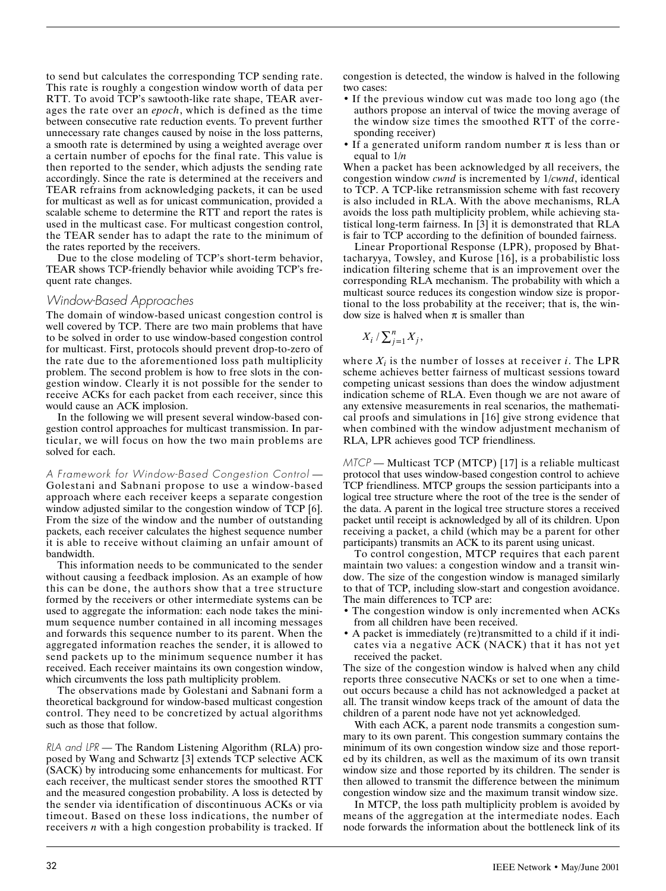to send but calculates the corresponding TCP sending rate. This rate is roughly a congestion window worth of data per RTT. To avoid TCP's sawtooth-like rate shape, TEAR averages the rate over an *epoch*, which is defined as the time between consecutive rate reduction events. To prevent further unnecessary rate changes caused by noise in the loss patterns, a smooth rate is determined by using a weighted average over a certain number of epochs for the final rate. This value is then reported to the sender, which adjusts the sending rate accordingly. Since the rate is determined at the receivers and TEAR refrains from acknowledging packets, it can be used for multicast as well as for unicast communication, provided a scalable scheme to determine the RTT and report the rates is used in the multicast case. For multicast congestion control, the TEAR sender has to adapt the rate to the minimum of the rates reported by the receivers.

Due to the close modeling of TCP's short-term behavior, TEAR shows TCP-friendly behavior while avoiding TCP's frequent rate changes.

## *Window-Based Approaches*

The domain of window-based unicast congestion control is well covered by TCP. There are two main problems that have to be solved in order to use window-based congestion control for multicast. First, protocols should prevent drop-to-zero of the rate due to the aforementioned loss path multiplicity problem. The second problem is how to free slots in the congestion window. Clearly it is not possible for the sender to receive ACKs for each packet from each receiver, since this would cause an ACK implosion.

In the following we will present several window-based congestion control approaches for multicast transmission. In particular, we will focus on how the two main problems are solved for each.

*A Framework for Window-Based Congestion Control* — Golestani and Sabnani propose to use a window-based approach where each receiver keeps a separate congestion window adjusted similar to the congestion window of TCP [6]. From the size of the window and the number of outstanding packets, each receiver calculates the highest sequence number it is able to receive without claiming an unfair amount of bandwidth.

This information needs to be communicated to the sender without causing a feedback implosion. As an example of how this can be done, the authors show that a tree structure formed by the receivers or other intermediate systems can be used to aggregate the information: each node takes the minimum sequence number contained in all incoming messages and forwards this sequence number to its parent. When the aggregated information reaches the sender, it is allowed to send packets up to the minimum sequence number it has received. Each receiver maintains its own congestion window, which circumvents the loss path multiplicity problem.

The observations made by Golestani and Sabnani form a theoretical background for window-based multicast congestion control. They need to be concretized by actual algorithms such as those that follow.

*RLA and LPR* — The Random Listening Algorithm (RLA) proposed by Wang and Schwartz [3] extends TCP selective ACK (SACK) by introducing some enhancements for multicast. For each receiver, the multicast sender stores the smoothed RTT and the measured congestion probability. A loss is detected by the sender via identification of discontinuous ACKs or via timeout. Based on these loss indications, the number of receivers *n* with a high congestion probability is tracked. If congestion is detected, the window is halved in the following two cases:

- If the previous window cut was made too long ago (the authors propose an interval of twice the moving average of the window size times the smoothed RTT of the corresponding receiver)
- If a generated uniform random number  $\pi$  is less than or equal to 1/*n*

When a packet has been acknowledged by all receivers, the congestion window *cwnd* is incremented by 1/*cwnd*, identical to TCP. A TCP-like retransmission scheme with fast recovery is also included in RLA. With the above mechanisms, RLA avoids the loss path multiplicity problem, while achieving statistical long-term fairness. In [3] it is demonstrated that RLA is fair to TCP according to the definition of bounded fairness.

Linear Proportional Response (LPR), proposed by Bhattacharyya, Towsley, and Kurose [16], is a probabilistic loss indication filtering scheme that is an improvement over the corresponding RLA mechanism. The probability with which a multicast source reduces its congestion window size is proportional to the loss probability at the receiver; that is, the window size is halved when  $\pi$  is smaller than

$$
X_i / \sum_{j=1}^n X_j,
$$

where  $X_i$  is the number of losses at receiver *i*. The LPR scheme achieves better fairness of multicast sessions toward competing unicast sessions than does the window adjustment indication scheme of RLA. Even though we are not aware of any extensive measurements in real scenarios, the mathematical proofs and simulations in [16] give strong evidence that when combined with the window adjustment mechanism of RLA, LPR achieves good TCP friendliness.

*MTCP* — Multicast TCP (MTCP) [17] is a reliable multicast protocol that uses window-based congestion control to achieve TCP friendliness. MTCP groups the session participants into a logical tree structure where the root of the tree is the sender of the data. A parent in the logical tree structure stores a received packet until receipt is acknowledged by all of its children. Upon receiving a packet, a child (which may be a parent for other participants) transmits an ACK to its parent using unicast.

To control congestion, MTCP requires that each parent maintain two values: a congestion window and a transit window. The size of the congestion window is managed similarly to that of TCP, including slow-start and congestion avoidance. The main differences to TCP are:

- The congestion window is only incremented when ACKs from all children have been received.
- A packet is immediately (re)transmitted to a child if it indicates via a negative ACK (NACK) that it has not yet received the packet.

The size of the congestion window is halved when any child reports three consecutive NACKs or set to one when a timeout occurs because a child has not acknowledged a packet at all. The transit window keeps track of the amount of data the children of a parent node have not yet acknowledged.

With each ACK, a parent node transmits a congestion summary to its own parent. This congestion summary contains the minimum of its own congestion window size and those reported by its children, as well as the maximum of its own transit window size and those reported by its children. The sender is then allowed to transmit the difference between the minimum congestion window size and the maximum transit window size.

In MTCP, the loss path multiplicity problem is avoided by means of the aggregation at the intermediate nodes. Each node forwards the information about the bottleneck link of its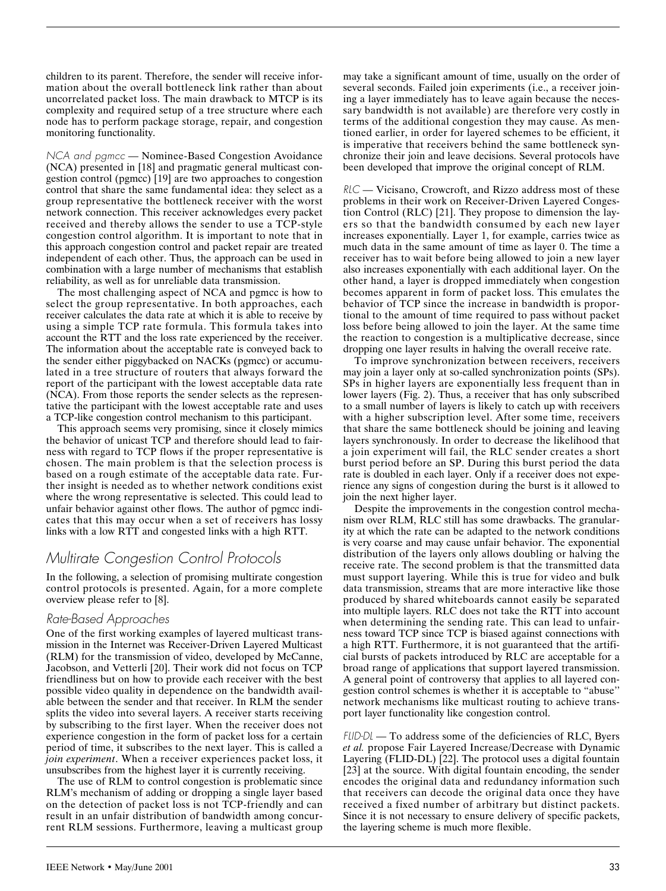children to its parent. Therefore, the sender will receive information about the overall bottleneck link rather than about uncorrelated packet loss. The main drawback to MTCP is its complexity and required setup of a tree structure where each node has to perform package storage, repair, and congestion monitoring functionality.

*NCA and pgmcc* — Nominee-Based Congestion Avoidance (NCA) presented in [18] and pragmatic general multicast congestion control (pgmcc) [19] are two approaches to congestion control that share the same fundamental idea: they select as a group representative the bottleneck receiver with the worst network connection. This receiver acknowledges every packet received and thereby allows the sender to use a TCP-style congestion control algorithm. It is important to note that in this approach congestion control and packet repair are treated independent of each other. Thus, the approach can be used in combination with a large number of mechanisms that establish reliability, as well as for unreliable data transmission.

The most challenging aspect of NCA and pgmcc is how to select the group representative. In both approaches, each receiver calculates the data rate at which it is able to receive by using a simple TCP rate formula. This formula takes into account the RTT and the loss rate experienced by the receiver. The information about the acceptable rate is conveyed back to the sender either piggybacked on NACKs (pgmcc) or accumulated in a tree structure of routers that always forward the report of the participant with the lowest acceptable data rate (NCA). From those reports the sender selects as the representative the participant with the lowest acceptable rate and uses a TCP-like congestion control mechanism to this participant.

This approach seems very promising, since it closely mimics the behavior of unicast TCP and therefore should lead to fairness with regard to TCP flows if the proper representative is chosen. The main problem is that the selection process is based on a rough estimate of the acceptable data rate. Further insight is needed as to whether network conditions exist where the wrong representative is selected. This could lead to unfair behavior against other flows. The author of pgmcc indicates that this may occur when a set of receivers has lossy links with a low RTT and congested links with a high RTT.

# *Multirate Congestion Control Protocols*

In the following, a selection of promising multirate congestion control protocols is presented. Again, for a more complete overview please refer to [8].

# *Rate-Based Approaches*

One of the first working examples of layered multicast transmission in the Internet was Receiver-Driven Layered Multicast (RLM) for the transmission of video, developed by McCanne, Jacobson, and Vetterli [20]. Their work did not focus on TCP friendliness but on how to provide each receiver with the best possible video quality in dependence on the bandwidth available between the sender and that receiver. In RLM the sender splits the video into several layers. A receiver starts receiving by subscribing to the first layer. When the receiver does not experience congestion in the form of packet loss for a certain period of time, it subscribes to the next layer. This is called a *join experiment*. When a receiver experiences packet loss, it unsubscribes from the highest layer it is currently receiving.

The use of RLM to control congestion is problematic since RLM's mechanism of adding or dropping a single layer based on the detection of packet loss is not TCP-friendly and can result in an unfair distribution of bandwidth among concurrent RLM sessions. Furthermore, leaving a multicast group may take a significant amount of time, usually on the order of several seconds. Failed join experiments (i.e., a receiver joining a layer immediately has to leave again because the necessary bandwidth is not available) are therefore very costly in terms of the additional congestion they may cause. As mentioned earlier, in order for layered schemes to be efficient, it is imperative that receivers behind the same bottleneck synchronize their join and leave decisions. Several protocols have been developed that improve the original concept of RLM.

*RLC* — Vicisano, Crowcroft, and Rizzo address most of these problems in their work on Receiver-Driven Layered Congestion Control (RLC) [21]. They propose to dimension the layers so that the bandwidth consumed by each new layer increases exponentially. Layer 1, for example, carries twice as much data in the same amount of time as layer 0. The time a receiver has to wait before being allowed to join a new layer also increases exponentially with each additional layer. On the other hand, a layer is dropped immediately when congestion becomes apparent in form of packet loss. This emulates the behavior of TCP since the increase in bandwidth is proportional to the amount of time required to pass without packet loss before being allowed to join the layer. At the same time the reaction to congestion is a multiplicative decrease, since dropping one layer results in halving the overall receive rate.

To improve synchronization between receivers, receivers may join a layer only at so-called synchronization points (SPs). SPs in higher layers are exponentially less frequent than in lower layers (Fig. 2). Thus, a receiver that has only subscribed to a small number of layers is likely to catch up with receivers with a higher subscription level. After some time, receivers that share the same bottleneck should be joining and leaving layers synchronously. In order to decrease the likelihood that a join experiment will fail, the RLC sender creates a short burst period before an SP. During this burst period the data rate is doubled in each layer. Only if a receiver does not experience any signs of congestion during the burst is it allowed to join the next higher layer.

Despite the improvements in the congestion control mechanism over RLM, RLC still has some drawbacks. The granularity at which the rate can be adapted to the network conditions is very coarse and may cause unfair behavior. The exponential distribution of the layers only allows doubling or halving the receive rate. The second problem is that the transmitted data must support layering. While this is true for video and bulk data transmission, streams that are more interactive like those produced by shared whiteboards cannot easily be separated into multiple layers. RLC does not take the RTT into account when determining the sending rate. This can lead to unfairness toward TCP since TCP is biased against connections with a high RTT. Furthermore, it is not guaranteed that the artificial bursts of packets introduced by RLC are acceptable for a broad range of applications that support layered transmission. A general point of controversy that applies to all layered congestion control schemes is whether it is acceptable to "abuse'' network mechanisms like multicast routing to achieve transport layer functionality like congestion control.

*FLID-DL* — To address some of the deficiencies of RLC, Byers *et al.* propose Fair Layered Increase/Decrease with Dynamic Layering (FLID-DL) [22]. The protocol uses a digital fountain [23] at the source. With digital fountain encoding, the sender encodes the original data and redundancy information such that receivers can decode the original data once they have received a fixed number of arbitrary but distinct packets. Since it is not necessary to ensure delivery of specific packets, the layering scheme is much more flexible.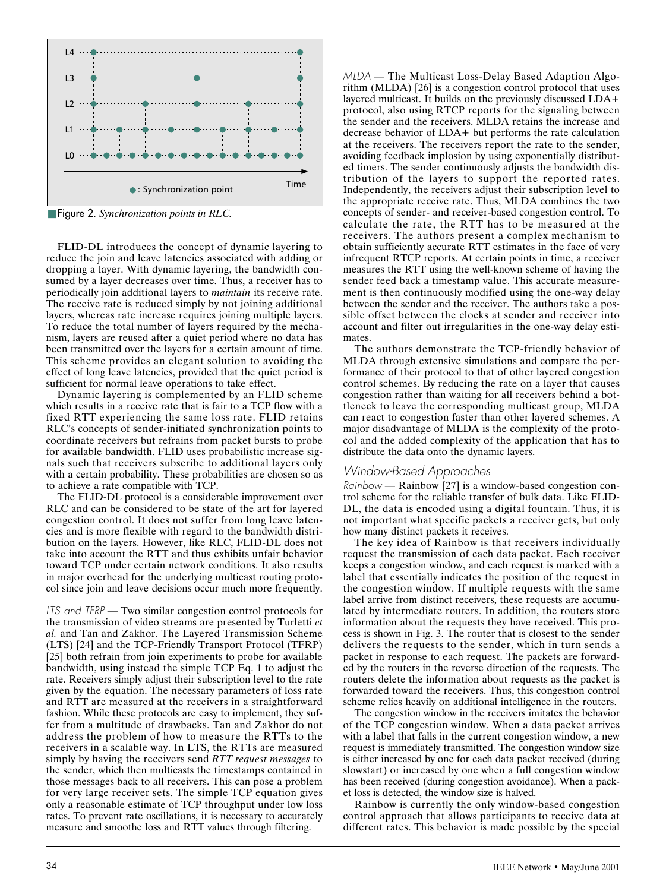

■ Figure 2. *Synchronization points in RLC*.

FLID-DL introduces the concept of dynamic layering to reduce the join and leave latencies associated with adding or dropping a layer. With dynamic layering, the bandwidth consumed by a layer decreases over time. Thus, a receiver has to periodically join additional layers to *maintain* its receive rate. The receive rate is reduced simply by not joining additional layers, whereas rate increase requires joining multiple layers. To reduce the total number of layers required by the mechanism, layers are reused after a quiet period where no data has been transmitted over the layers for a certain amount of time. This scheme provides an elegant solution to avoiding the effect of long leave latencies, provided that the quiet period is sufficient for normal leave operations to take effect.

Dynamic layering is complemented by an FLID scheme which results in a receive rate that is fair to a TCP flow with a fixed RTT experiencing the same loss rate. FLID retains RLC's concepts of sender-initiated synchronization points to coordinate receivers but refrains from packet bursts to probe for available bandwidth. FLID uses probabilistic increase signals such that receivers subscribe to additional layers only with a certain probability. These probabilities are chosen so as to achieve a rate compatible with TCP.

The FLID-DL protocol is a considerable improvement over RLC and can be considered to be state of the art for layered congestion control. It does not suffer from long leave latencies and is more flexible with regard to the bandwidth distribution on the layers. However, like RLC, FLID-DL does not take into account the RTT and thus exhibits unfair behavior toward TCP under certain network conditions. It also results in major overhead for the underlying multicast routing protocol since join and leave decisions occur much more frequently.

*LTS and TFRP* — Two similar congestion control protocols for the transmission of video streams are presented by Turletti *et al.* and Tan and Zakhor. The Layered Transmission Scheme (LTS) [24] and the TCP-Friendly Transport Protocol (TFRP) [25] both refrain from join experiments to probe for available bandwidth, using instead the simple TCP Eq. 1 to adjust the rate. Receivers simply adjust their subscription level to the rate given by the equation. The necessary parameters of loss rate and RTT are measured at the receivers in a straightforward fashion. While these protocols are easy to implement, they suffer from a multitude of drawbacks. Tan and Zakhor do not address the problem of how to measure the RTTs to the receivers in a scalable way. In LTS, the RTTs are measured simply by having the receivers send *RTT request messages* to the sender, which then multicasts the timestamps contained in those messages back to all receivers. This can pose a problem for very large receiver sets. The simple TCP equation gives only a reasonable estimate of TCP throughput under low loss rates. To prevent rate oscillations, it is necessary to accurately measure and smoothe loss and RTT values through filtering.

*MLDA* — The Multicast Loss-Delay Based Adaption Algorithm (MLDA) [26] is a congestion control protocol that uses layered multicast. It builds on the previously discussed LDA+ protocol, also using RTCP reports for the signaling between the sender and the receivers. MLDA retains the increase and decrease behavior of LDA+ but performs the rate calculation at the receivers. The receivers report the rate to the sender, avoiding feedback implosion by using exponentially distributed timers. The sender continuously adjusts the bandwidth distribution of the layers to support the reported rates. Independently, the receivers adjust their subscription level to the appropriate receive rate. Thus, MLDA combines the two concepts of sender- and receiver-based congestion control. To calculate the rate, the RTT has to be measured at the receivers. The authors present a complex mechanism to obtain sufficiently accurate RTT estimates in the face of very infrequent RTCP reports. At certain points in time, a receiver measures the RTT using the well-known scheme of having the sender feed back a timestamp value. This accurate measurement is then continuously modified using the one-way delay between the sender and the receiver. The authors take a possible offset between the clocks at sender and receiver into account and filter out irregularities in the one-way delay estimates.

The authors demonstrate the TCP-friendly behavior of MLDA through extensive simulations and compare the performance of their protocol to that of other layered congestion control schemes. By reducing the rate on a layer that causes congestion rather than waiting for all receivers behind a bottleneck to leave the corresponding multicast group, MLDA can react to congestion faster than other layered schemes. A major disadvantage of MLDA is the complexity of the protocol and the added complexity of the application that has to distribute the data onto the dynamic layers.

## *Window-Based Approaches*

*Rainbow* — Rainbow [27] is a window-based congestion control scheme for the reliable transfer of bulk data. Like FLID-DL, the data is encoded using a digital fountain. Thus, it is not important what specific packets a receiver gets, but only how many distinct packets it receives.

The key idea of Rainbow is that receivers individually request the transmission of each data packet. Each receiver keeps a congestion window, and each request is marked with a label that essentially indicates the position of the request in the congestion window. If multiple requests with the same label arrive from distinct receivers, these requests are accumulated by intermediate routers. In addition, the routers store information about the requests they have received. This process is shown in Fig. 3. The router that is closest to the sender delivers the requests to the sender, which in turn sends a packet in response to each request. The packets are forwarded by the routers in the reverse direction of the requests. The routers delete the information about requests as the packet is forwarded toward the receivers. Thus, this congestion control scheme relies heavily on additional intelligence in the routers.

The congestion window in the receivers imitates the behavior of the TCP congestion window. When a data packet arrives with a label that falls in the current congestion window, a new request is immediately transmitted. The congestion window size is either increased by one for each data packet received (during slowstart) or increased by one when a full congestion window has been received (during congestion avoidance). When a packet loss is detected, the window size is halved.

Rainbow is currently the only window-based congestion control approach that allows participants to receive data at different rates. This behavior is made possible by the special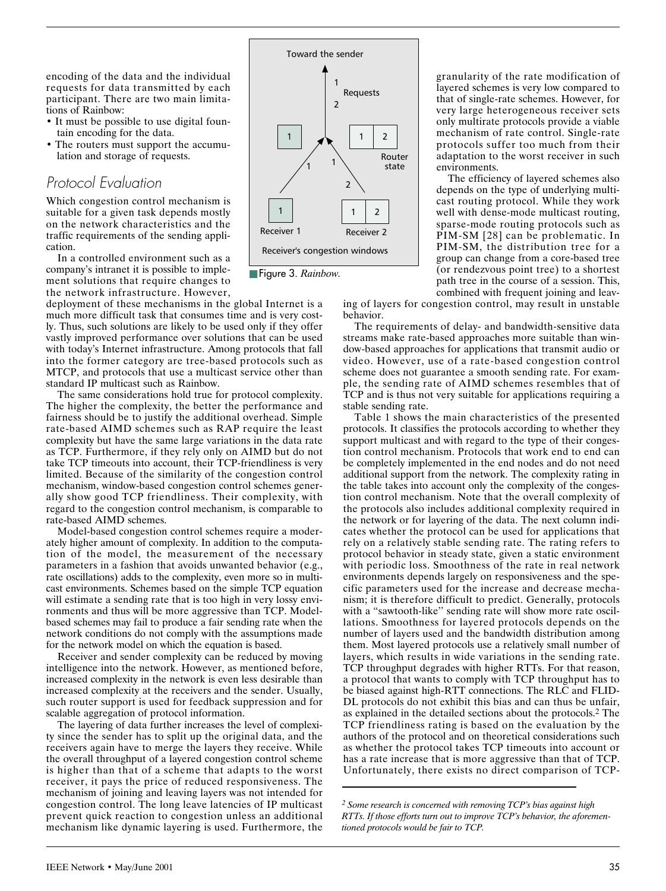encoding of the data and the individual requests for data transmitted by each participant. There are two main limitations of Rainbow:

- It must be possible to use digital fountain encoding for the data.
- The routers must support the accumulation and storage of requests.

# *Protocol Evaluation*

Which congestion control mechanism is suitable for a given task depends mostly on the network characteristics and the traffic requirements of the sending application.

In a controlled environment such as a company's intranet it is possible to implement solutions that require changes to the network infrastructure. However,

deployment of these mechanisms in the global Internet is a much more difficult task that consumes time and is very costly. Thus, such solutions are likely to be used only if they offer vastly improved performance over solutions that can be used with today's Internet infrastructure. Among protocols that fall into the former category are tree-based protocols such as MTCP, and protocols that use a multicast service other than standard IP multicast such as Rainbow.

The same considerations hold true for protocol complexity. The higher the complexity, the better the performance and fairness should be to justify the additional overhead. Simple rate-based AIMD schemes such as RAP require the least complexity but have the same large variations in the data rate as TCP. Furthermore, if they rely only on AIMD but do not take TCP timeouts into account, their TCP-friendliness is very limited. Because of the similarity of the congestion control mechanism, window-based congestion control schemes generally show good TCP friendliness. Their complexity, with regard to the congestion control mechanism, is comparable to rate-based AIMD schemes.

Model-based congestion control schemes require a moderately higher amount of complexity. In addition to the computation of the model, the measurement of the necessary parameters in a fashion that avoids unwanted behavior (e.g., rate oscillations) adds to the complexity, even more so in multicast environments. Schemes based on the simple TCP equation will estimate a sending rate that is too high in very lossy environments and thus will be more aggressive than TCP. Modelbased schemes may fail to produce a fair sending rate when the network conditions do not comply with the assumptions made for the network model on which the equation is based.

Receiver and sender complexity can be reduced by moving intelligence into the network. However, as mentioned before, increased complexity in the network is even less desirable than increased complexity at the receivers and the sender. Usually, such router support is used for feedback suppression and for scalable aggregation of protocol information.

The layering of data further increases the level of complexity since the sender has to split up the original data, and the receivers again have to merge the layers they receive. While the overall throughput of a layered congestion control scheme is higher than that of a scheme that adapts to the worst receiver, it pays the price of reduced responsiveness. The mechanism of joining and leaving layers was not intended for congestion control. The long leave latencies of IP multicast prevent quick reaction to congestion unless an additional mechanism like dynamic layering is used. Furthermore, the



■ Figure 3. *Rainbow.*

granularity of the rate modification of layered schemes is very low compared to that of single-rate schemes. However, for very large heterogeneous receiver sets only multirate protocols provide a viable mechanism of rate control. Single-rate protocols suffer too much from their adaptation to the worst receiver in such environments.

The efficiency of layered schemes also depends on the type of underlying multicast routing protocol. While they work well with dense-mode multicast routing, sparse-mode routing protocols such as PIM-SM [28] can be problematic. In PIM-SM, the distribution tree for a group can change from a core-based tree (or rendezvous point tree) to a shortest path tree in the course of a session. This, combined with frequent joining and leav-

ing of layers for congestion control, may result in unstable behavior.

The requirements of delay- and bandwidth-sensitive data streams make rate-based approaches more suitable than window-based approaches for applications that transmit audio or video. However, use of a rate-based congestion control scheme does not guarantee a smooth sending rate. For example, the sending rate of AIMD schemes resembles that of TCP and is thus not very suitable for applications requiring a stable sending rate.

Table 1 shows the main characteristics of the presented protocols. It classifies the protocols according to whether they support multicast and with regard to the type of their congestion control mechanism. Protocols that work end to end can be completely implemented in the end nodes and do not need additional support from the network. The complexity rating in the table takes into account only the complexity of the congestion control mechanism. Note that the overall complexity of the protocols also includes additional complexity required in the network or for layering of the data. The next column indicates whether the protocol can be used for applications that rely on a relatively stable sending rate. The rating refers to protocol behavior in steady state, given a static environment with periodic loss. Smoothness of the rate in real network environments depends largely on responsiveness and the specific parameters used for the increase and decrease mechanism; it is therefore difficult to predict. Generally, protocols with a "sawtooth-like'' sending rate will show more rate oscillations. Smoothness for layered protocols depends on the number of layers used and the bandwidth distribution among them. Most layered protocols use a relatively small number of layers, which results in wide variations in the sending rate. TCP throughput degrades with higher RTTs. For that reason, a protocol that wants to comply with TCP throughput has to be biased against high-RTT connections. The RLC and FLID-DL protocols do not exhibit this bias and can thus be unfair, as explained in the detailed sections about the protocols.2 The TCP friendliness rating is based on the evaluation by the authors of the protocol and on theoretical considerations such as whether the protocol takes TCP timeouts into account or has a rate increase that is more aggressive than that of TCP. Unfortunately, there exists no direct comparison of TCP-

*<sup>2</sup> Some research is concerned with removing TCP's bias against high RTTs. If those efforts turn out to improve TCP's behavior, the aforementioned protocols would be fair to TCP.*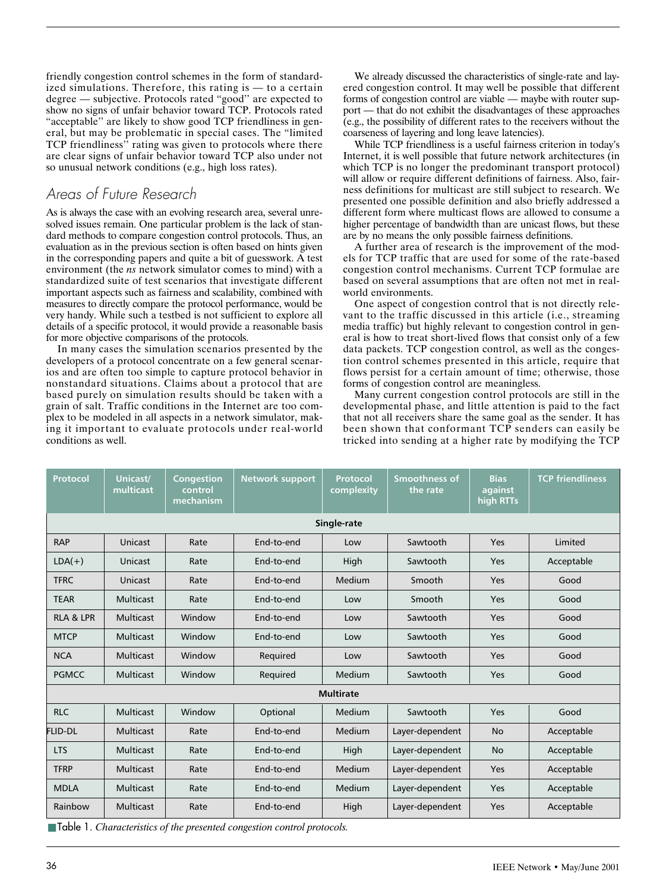friendly congestion control schemes in the form of standardized simulations. Therefore, this rating is — to a certain degree — subjective. Protocols rated "good'' are expected to show no signs of unfair behavior toward TCP. Protocols rated "acceptable'' are likely to show good TCP friendliness in general, but may be problematic in special cases. The "limited TCP friendliness'' rating was given to protocols where there are clear signs of unfair behavior toward TCP also under not so unusual network conditions (e.g., high loss rates).

# *Areas of Future Research*

As is always the case with an evolving research area, several unresolved issues remain. One particular problem is the lack of standard methods to compare congestion control protocols. Thus, an evaluation as in the previous section is often based on hints given in the corresponding papers and quite a bit of guesswork. A test environment (the *ns* network simulator comes to mind) with a standardized suite of test scenarios that investigate different important aspects such as fairness and scalability, combined with measures to directly compare the protocol performance, would be very handy. While such a testbed is not sufficient to explore all details of a specific protocol, it would provide a reasonable basis for more objective comparisons of the protocols.

In many cases the simulation scenarios presented by the developers of a protocol concentrate on a few general scenarios and are often too simple to capture protocol behavior in nonstandard situations. Claims about a protocol that are based purely on simulation results should be taken with a grain of salt. Traffic conditions in the Internet are too complex to be modeled in all aspects in a network simulator, making it important to evaluate protocols under real-world conditions as well.

We already discussed the characteristics of single-rate and layered congestion control. It may well be possible that different forms of congestion control are viable — maybe with router support — that do not exhibit the disadvantages of these approaches (e.g., the possibility of different rates to the receivers without the coarseness of layering and long leave latencies).

While TCP friendliness is a useful fairness criterion in today's Internet, it is well possible that future network architectures (in which TCP is no longer the predominant transport protocol) will allow or require different definitions of fairness. Also, fairness definitions for multicast are still subject to research. We presented one possible definition and also briefly addressed a different form where multicast flows are allowed to consume a higher percentage of bandwidth than are unicast flows, but these are by no means the only possible fairness definitions.

A further area of research is the improvement of the models for TCP traffic that are used for some of the rate-based congestion control mechanisms. Current TCP formulae are based on several assumptions that are often not met in realworld environments.

One aspect of congestion control that is not directly relevant to the traffic discussed in this article (i.e., streaming media traffic) but highly relevant to congestion control in general is how to treat short-lived flows that consist only of a few data packets. TCP congestion control, as well as the congestion control schemes presented in this article, require that flows persist for a certain amount of time; otherwise, those forms of congestion control are meaningless.

Many current congestion control protocols are still in the developmental phase, and little attention is paid to the fact that not all receivers share the same goal as the sender. It has been shown that conformant TCP senders can easily be tricked into sending at a higher rate by modifying the TCP

| Protocol             | Unicast/<br>multicast | <b>Congestion</b><br>control<br>mechanism | <b>Network support</b> | Protocol<br>complexity | <b>Smoothness of</b><br>the rate | <b>Bias</b><br>against<br>high RTTs | <b>TCP</b> friendliness |
|----------------------|-----------------------|-------------------------------------------|------------------------|------------------------|----------------------------------|-------------------------------------|-------------------------|
| Single-rate          |                       |                                           |                        |                        |                                  |                                     |                         |
| <b>RAP</b>           | Unicast               | Rate                                      | End-to-end             | Low                    | Sawtooth                         | Yes                                 | Limited                 |
| $LDA(+)$             | Unicast               | Rate                                      | End-to-end             | High                   | Sawtooth                         | Yes                                 | Acceptable              |
| <b>TFRC</b>          | Unicast               | Rate                                      | End-to-end             | Medium                 | Smooth                           | Yes                                 | Good                    |
| <b>TEAR</b>          | Multicast             | Rate                                      | End-to-end             | Low                    | Smooth                           | Yes                                 | Good                    |
| <b>RLA &amp; LPR</b> | <b>Multicast</b>      | Window                                    | End-to-end             | Low                    | Sawtooth                         | Yes                                 | Good                    |
| <b>MTCP</b>          | <b>Multicast</b>      | Window                                    | End-to-end             | Low                    | Sawtooth                         | Yes                                 | Good                    |
| <b>NCA</b>           | Multicast             | Window                                    | Required               | Low                    | Sawtooth                         | Yes                                 | Good                    |
| <b>PGMCC</b>         | <b>Multicast</b>      | Window                                    | Required               | Medium                 | Sawtooth                         | Yes                                 | Good                    |
| <b>Multirate</b>     |                       |                                           |                        |                        |                                  |                                     |                         |
| <b>RLC</b>           | Multicast             | Window                                    | Optional               | Medium                 | Sawtooth                         | Yes                                 | Good                    |
| <b>FLID-DL</b>       | <b>Multicast</b>      | Rate                                      | End-to-end             | Medium                 | Layer-dependent                  | <b>No</b>                           | Acceptable              |
| <b>LTS</b>           | <b>Multicast</b>      | Rate                                      | End-to-end             | High                   | Layer-dependent                  | <b>No</b>                           | Acceptable              |
| <b>TFRP</b>          | <b>Multicast</b>      | Rate                                      | End-to-end             | Medium                 | Layer-dependent                  | Yes                                 | Acceptable              |
| <b>MDLA</b>          | <b>Multicast</b>      | Rate                                      | End-to-end             | Medium                 | Layer-dependent                  | Yes                                 | Acceptable              |
| Rainbow              | <b>Multicast</b>      | Rate                                      | End-to-end             | High                   | Layer-dependent                  | Yes                                 | Acceptable              |

■ **Table 1**. *Characteristics of the presented congestion control protocols.*